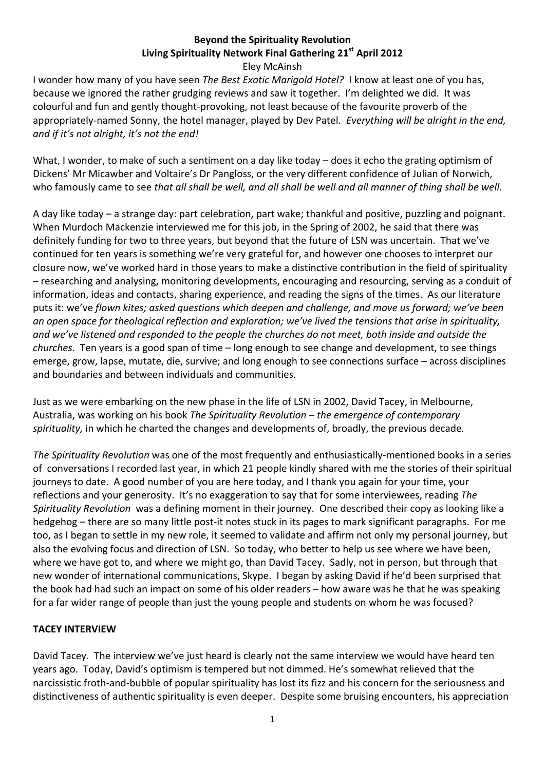## **Beyond the Spirituality Revolution Living Spirituality Network Final Gathering 21st April 2012**  Eley McAinsh

I wonder how many of you have seen *The Best Exotic Marigold Hotel?* I know at least one of you has, because we ignored the rather grudging reviews and saw it together. I'm delighted we did. It was colourful and fun and gently thought-provoking, not least because of the favourite proverb of the appropriately-named Sonny, the hotel manager, played by Dev Patel. *Everything will be alright in the end, and if it's not alright, it's not the end!* 

What, I wonder, to make of such a sentiment on a day like today – does it echo the grating optimism of Dickens' Mr Micawber and Voltaire's Dr Pangloss, or the very different confidence of Julian of Norwich, who famously came to see *that all shall be well, and all shall be well and all manner of thing shall be well.* 

A day like today – a strange day: part celebration, part wake; thankful and positive, puzzling and poignant. When Murdoch Mackenzie interviewed me for this job, in the Spring of 2002, he said that there was definitely funding for two to three years, but beyond that the future of LSN was uncertain. That we've continued for ten years is something we're very grateful for, and however one chooses to interpret our closure now, we've worked hard in those years to make a distinctive contribution in the field of spirituality – researching and analysing, monitoring developments, encouraging and resourcing, serving as a conduit of information, ideas and contacts, sharing experience, and reading the signs of the times. As our literature puts it: we've *flown kites; asked questions which deepen and challenge, and move us forward; we've been an open space for theological reflection and exploration; we've lived the tensions that arise in spirituality, and we've listened and responded to the people the churches do not meet, both inside and outside the churches*. Ten years is a good span of time – long enough to see change and development, to see things emerge, grow, lapse, mutate, die, survive; and long enough to see connections surface – across disciplines and boundaries and between individuals and communities.

Just as we were embarking on the new phase in the life of LSN in 2002, David Tacey, in Melbourne, Australia, was working on his book *The Spirituality Revolution – the emergence of contemporary spirituality,* in which he charted the changes and developments of, broadly, the previous decade*.* 

*The Spirituality Revolution* was one of the most frequently and enthusiastically-mentioned books in a series of conversations I recorded last year, in which 21 people kindly shared with me the stories of their spiritual journeys to date. A good number of you are here today, and I thank you again for your time, your reflections and your generosity. It's no exaggeration to say that for some interviewees, reading *The Spirituality Revolution* was a defining moment in their journey. One described their copy as looking like a hedgehog – there are so many little post-it notes stuck in its pages to mark significant paragraphs. For me too, as I began to settle in my new role, it seemed to validate and affirm not only my personal journey, but also the evolving focus and direction of LSN. So today, who better to help us see where we have been, where we have got to, and where we might go, than David Tacey. Sadly, not in person, but through that new wonder of international communications, Skype. I began by asking David if he'd been surprised that the book had had such an impact on some of his older readers – how aware was he that he was speaking for a far wider range of people than just the young people and students on whom he was focused?

## **TACEY INTERVIEW**

David Tacey. The interview we've just heard is clearly not the same interview we would have heard ten years ago. Today, David's optimism is tempered but not dimmed. He's somewhat relieved that the narcissistic froth-and-bubble of popular spirituality has lost its fizz and his concern for the seriousness and distinctiveness of authentic spirituality is even deeper. Despite some bruising encounters, his appreciation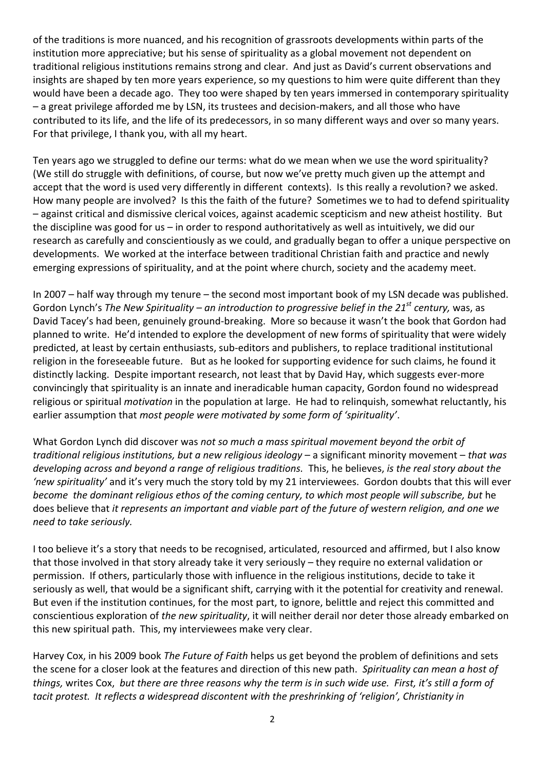of the traditions is more nuanced, and his recognition of grassroots developments within parts of the institution more appreciative; but his sense of spirituality as a global movement not dependent on traditional religious institutions remains strong and clear. And just as David's current observations and insights are shaped by ten more years experience, so my questions to him were quite different than they would have been a decade ago. They too were shaped by ten years immersed in contemporary spirituality – a great privilege afforded me by LSN, its trustees and decision-makers, and all those who have contributed to its life, and the life of its predecessors, in so many different ways and over so many years. For that privilege, I thank you, with all my heart.

Ten years ago we struggled to define our terms: what do we mean when we use the word spirituality? (We still do struggle with definitions, of course, but now we've pretty much given up the attempt and accept that the word is used very differently in different contexts). Is this really a revolution? we asked. How many people are involved? Is this the faith of the future? Sometimes we to had to defend spirituality – against critical and dismissive clerical voices, against academic scepticism and new atheist hostility. But the discipline was good for us – in order to respond authoritatively as well as intuitively, we did our research as carefully and conscientiously as we could, and gradually began to offer a unique perspective on developments. We worked at the interface between traditional Christian faith and practice and newly emerging expressions of spirituality, and at the point where church, society and the academy meet.

In 2007 – half way through my tenure – the second most important book of my LSN decade was published. Gordon Lynch's *The New Spirituality – an introduction to progressive belief in the 21st century,* was, as David Tacey's had been, genuinely ground-breaking. More so because it wasn't the book that Gordon had planned to write. He'd intended to explore the development of new forms of spirituality that were widely predicted, at least by certain enthusiasts, sub-editors and publishers, to replace traditional institutional religion in the foreseeable future. But as he looked for supporting evidence for such claims, he found it distinctly lacking. Despite important research, not least that by David Hay, which suggests ever-more convincingly that spirituality is an innate and ineradicable human capacity, Gordon found no widespread religious or spiritual *motivation* in the population at large. He had to relinquish, somewhat reluctantly, his earlier assumption that *most people were motivated by some form of 'spirituality'*.

What Gordon Lynch did discover was *not so much a mass spiritual movement beyond the orbit of traditional religious institutions, but a new religious ideology –* a significant minority movement – *that was developing across and beyond a range of religious traditions.* This, he believes, *is the real story about the 'new spirituality'* and it's very much the story told by my 21 interviewees. Gordon doubts that this will ever *become the dominant religious ethos of the coming century, to which most people will subscribe, but* he does believe that *it represents an important and viable part of the future of western religion, and one we need to take seriously.* 

I too believe it's a story that needs to be recognised, articulated, resourced and affirmed, but I also know that those involved in that story already take it very seriously – they require no external validation or permission. If others, particularly those with influence in the religious institutions, decide to take it seriously as well, that would be a significant shift, carrying with it the potential for creativity and renewal. But even if the institution continues, for the most part, to ignore, belittle and reject this committed and conscientious exploration of *the new spirituality*, it will neither derail nor deter those already embarked on this new spiritual path. This, my interviewees make very clear.

Harvey Cox, in his 2009 book *The Future of Faith* helps us get beyond the problem of definitions and sets the scene for a closer look at the features and direction of this new path. *Spirituality can mean a host of things,* writes Cox, *but there are three reasons why the term is in such wide use. First, it's still a form of tacit protest. It reflects a widespread discontent with the preshrinking of 'religion', Christianity in*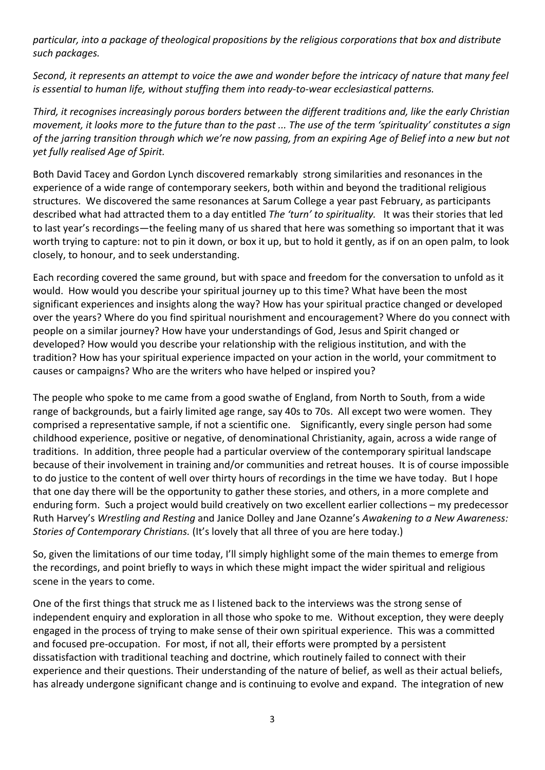*particular, into a package of theological propositions by the religious corporations that box and distribute such packages.* 

*Second, it represents an attempt to voice the awe and wonder before the intricacy of nature that many feel is essential to human life, without stuffing them into ready-to-wear ecclesiastical patterns.* 

*Third, it recognises increasingly porous borders between the different traditions and, like the early Christian movement, it looks more to the future than to the past ... The use of the term 'spirituality' constitutes a sign of the jarring transition through which we're now passing, from an expiring Age of Belief into a new but not yet fully realised Age of Spirit.* 

Both David Tacey and Gordon Lynch discovered remarkably strong similarities and resonances in the experience of a wide range of contemporary seekers, both within and beyond the traditional religious structures. We discovered the same resonances at Sarum College a year past February, as participants described what had attracted them to a day entitled *The 'turn' to spirituality.* It was their stories that led to last year's recordings—the feeling many of us shared that here was something so important that it was worth trying to capture: not to pin it down, or box it up, but to hold it gently, as if on an open palm, to look closely, to honour, and to seek understanding.

Each recording covered the same ground, but with space and freedom for the conversation to unfold as it would. How would you describe your spiritual journey up to this time? What have been the most significant experiences and insights along the way? How has your spiritual practice changed or developed over the years? Where do you find spiritual nourishment and encouragement? Where do you connect with people on a similar journey? How have your understandings of God, Jesus and Spirit changed or developed? How would you describe your relationship with the religious institution, and with the tradition? How has your spiritual experience impacted on your action in the world, your commitment to causes or campaigns? Who are the writers who have helped or inspired you?

The people who spoke to me came from a good swathe of England, from North to South, from a wide range of backgrounds, but a fairly limited age range, say 40s to 70s. All except two were women. They comprised a representative sample, if not a scientific one. Significantly, every single person had some childhood experience, positive or negative, of denominational Christianity, again, across a wide range of traditions. In addition, three people had a particular overview of the contemporary spiritual landscape because of their involvement in training and/or communities and retreat houses. It is of course impossible to do justice to the content of well over thirty hours of recordings in the time we have today. But I hope that one day there will be the opportunity to gather these stories, and others, in a more complete and enduring form. Such a project would build creatively on two excellent earlier collections – my predecessor Ruth Harvey's *Wrestling and Resting* and Janice Dolley and Jane Ozanne's *Awakening to a New Awareness: Stories of Contemporary Christians.* (It's lovely that all three of you are here today.)

So, given the limitations of our time today, I'll simply highlight some of the main themes to emerge from the recordings, and point briefly to ways in which these might impact the wider spiritual and religious scene in the years to come.

One of the first things that struck me as I listened back to the interviews was the strong sense of independent enquiry and exploration in all those who spoke to me. Without exception, they were deeply engaged in the process of trying to make sense of their own spiritual experience. This was a committed and focused pre-occupation. For most, if not all, their efforts were prompted by a persistent dissatisfaction with traditional teaching and doctrine, which routinely failed to connect with their experience and their questions. Their understanding of the nature of belief, as well as their actual beliefs, has already undergone significant change and is continuing to evolve and expand. The integration of new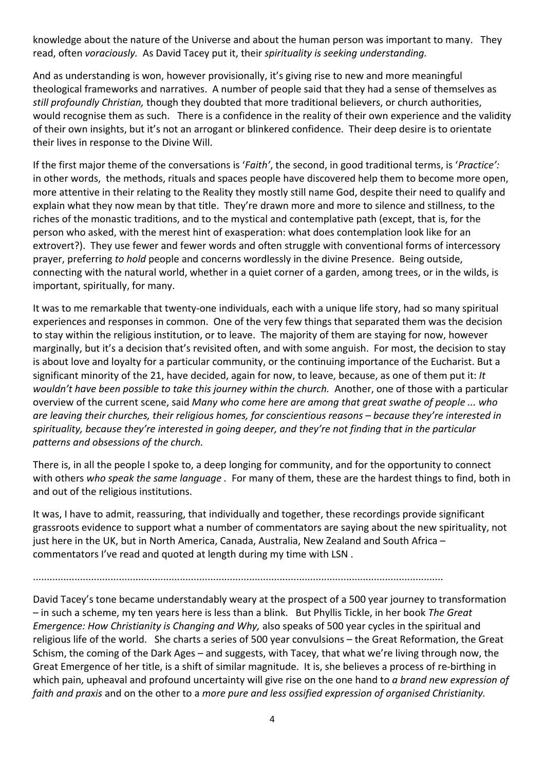knowledge about the nature of the Universe and about the human person was important to many. They read, often *voraciously.* As David Tacey put it, their *spirituality is seeking understanding.* 

And as understanding is won, however provisionally, it's giving rise to new and more meaningful theological frameworks and narratives. A number of people said that they had a sense of themselves as *still profoundly Christian,* though they doubted that more traditional believers, or church authorities, would recognise them as such. There is a confidence in the reality of their own experience and the validity of their own insights, but it's not an arrogant or blinkered confidence. Their deep desire is to orientate their lives in response to the Divine Will.

If the first major theme of the conversations is '*Faith'*, the second, in good traditional terms, is '*Practice':*  in other words,the methods, rituals and spaces people have discovered help them to become more open, more attentive in their relating to the Reality they mostly still name God, despite their need to qualify and explain what they now mean by that title. They're drawn more and more to silence and stillness, to the riches of the monastic traditions, and to the mystical and contemplative path (except, that is, for the person who asked, with the merest hint of exasperation: what does contemplation look like for an extrovert?). They use fewer and fewer words and often struggle with conventional forms of intercessory prayer, preferring *to hold* people and concerns wordlessly in the divine Presence. Being outside, connecting with the natural world, whether in a quiet corner of a garden, among trees, or in the wilds, is important, spiritually, for many.

It was to me remarkable that twenty-one individuals, each with a unique life story, had so many spiritual experiences and responses in common. One of the very few things that separated them was the decision to stay within the religious institution, or to leave. The majority of them are staying for now, however marginally, but it's a decision that's revisited often, and with some anguish. For most, the decision to stay is about love and loyalty for a particular community, or the continuing importance of the Eucharist. But a significant minority of the 21, have decided, again for now, to leave, because, as one of them put it: *It wouldn't have been possible to take this journey within the church.* Another, one of those with a particular overview of the current scene, said *Many who come here are among that great swathe of people ... who are leaving their churches, their religious homes, for conscientious reasons – because they're interested in spirituality, because they're interested in going deeper, and they're not finding that in the particular patterns and obsessions of the church.* 

There is, in all the people I spoke to, a deep longing for community, and for the opportunity to connect with others *who speak the same language .* For many of them, these are the hardest things to find, both in and out of the religious institutions.

It was, I have to admit, reassuring, that individually and together, these recordings provide significant grassroots evidence to support what a number of commentators are saying about the new spirituality, not just here in the UK, but in North America, Canada, Australia, New Zealand and South Africa – commentators I've read and quoted at length during my time with LSN .

....................................................................................................................................................

David Tacey's tone became understandably weary at the prospect of a 500 year journey to transformation – in such a scheme, my ten years here is less than a blink. But Phyllis Tickle, in her book *The Great Emergence: How Christianity is Changing and Why,* also speaks of 500 year cycles in the spiritual and religious life of the world. She charts a series of 500 year convulsions – the Great Reformation, the Great Schism, the coming of the Dark Ages – and suggests, with Tacey, that what we're living through now, the Great Emergence of her title, is a shift of similar magnitude. It is, she believes a process of re-birthing in which pain, upheaval and profound uncertainty will give rise on the one hand to *a brand new expression of faith and praxis* and on the other to a *more pure and less ossified expression of organised Christianity.*